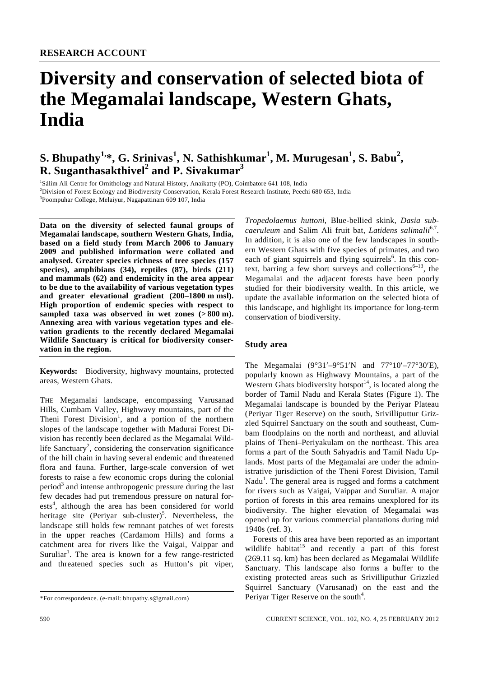# **Diversity and conservation of selected biota of the Megamalai landscape, Western Ghats, India**

# $\mathbf{S}.$  Bhupathy<sup>1,</sup>\*, G. Srinivas<sup>1</sup>, N. Sathishkumar<sup>1</sup>, M. Murugesan<sup>1</sup>, S. Babu<sup>2</sup>, **R. Suganthasakthivel<sup>2</sup> and P. Sivakumar<sup>3</sup>**

1 Sálim Ali Centre for Ornithology and Natural History, Anaikatty (PO), Coimbatore 641 108, India

2 Division of Forest Ecology and Biodiversity Conservation, Kerala Forest Research Institute, Peechi 680 653, India

3 Poompuhar College, Melaiyur, Nagapattinam 609 107, India

**Data on the diversity of selected faunal groups of Megamalai landscape, southern Western Ghats, India, based on a field study from March 2006 to January 2009 and published information were collated and analysed. Greater species richness of tree species (157 species), amphibians (34), reptiles (87), birds (211) and mammals (62) and endemicity in the area appear to be due to the availability of various vegetation types and greater elevational gradient (200–1800 m msl). High proportion of endemic species with respect to**  sampled taxa was observed in wet zones  $(> 800 \text{ m})$ . **Annexing area with various vegetation types and elevation gradients to the recently declared Megamalai Wildlife Sanctuary is critical for biodiversity conservation in the region.** 

**Keywords:** Biodiversity, highwavy mountains, protected areas, Western Ghats.

THE Megamalai landscape, encompassing Varusanad Hills, Cumbam Valley, Highwavy mountains, part of the Theni Forest Division<sup>1</sup>, and a portion of the northern slopes of the landscape together with Madurai Forest Division has recently been declared as the Megamalai Wildlife Sanctuary<sup>2</sup>, considering the conservation significance of the hill chain in having several endemic and threatened flora and fauna. Further, large-scale conversion of wet forests to raise a few economic crops during the colonial period<sup>3</sup> and intense anthropogenic pressure during the last few decades had put tremendous pressure on natural forests<sup>4</sup>, although the area has been considered for world heritage site (Periyar sub-cluster)<sup>5</sup>. Nevertheless, the landscape still holds few remnant patches of wet forests in the upper reaches (Cardamom Hills) and forms a catchment area for rivers like the Vaigai, Vaippar and Suruliar<sup>1</sup>. The area is known for a few range-restricted and threatened species such as Hutton's pit viper,

*Tropedolaemus huttoni*, Blue-bellied skink, *Dasia subcaeruleum* and Salim Ali fruit bat, *Latidens salimalii*6,7. In addition, it is also one of the few landscapes in southern Western Ghats with five species of primates, and two each of giant squirrels and flying squirrels<sup>6</sup>. In this context, barring a few short surveys and collections<sup>6–13</sup>, the Megamalai and the adjacent forests have been poorly studied for their biodiversity wealth. In this article, we update the available information on the selected biota of this landscape, and highlight its importance for long-term conservation of biodiversity.

# **Study area**

The Megamalai (9°31′–9°51′N and 77°10′–77°30′E), popularly known as Highwavy Mountains, a part of the Western Ghats biodiversity hotspot<sup>14</sup>, is located along the border of Tamil Nadu and Kerala States (Figure 1). The Megamalai landscape is bounded by the Periyar Plateau (Periyar Tiger Reserve) on the south, Srivilliputtur Grizzled Squirrel Sanctuary on the south and southeast, Cumbam floodplains on the north and northeast, and alluvial plains of Theni–Periyakulam on the northeast. This area forms a part of the South Sahyadris and Tamil Nadu Uplands. Most parts of the Megamalai are under the administrative jurisdiction of the Theni Forest Division, Tamil Nadu<sup>1</sup>. The general area is rugged and forms a catchment for rivers such as Vaigai, Vaippar and Suruliar. A major portion of forests in this area remains unexplored for its biodiversity. The higher elevation of Megamalai was opened up for various commercial plantations during mid 1940s (ref. 3).

 Forests of this area have been reported as an important wildlife habitat<sup>15</sup> and recently a part of this forest (269.11 sq. km) has been declared as Megamalai Wildlife Sanctuary. This landscape also forms a buffer to the existing protected areas such as Srivilliputhur Grizzled Squirrel Sanctuary (Varusanad) on the east and the Periyar Tiger Reserve on the south<sup>4</sup>.

<sup>\*</sup>For correspondence. (e-mail: bhupathy.s@gmail.com)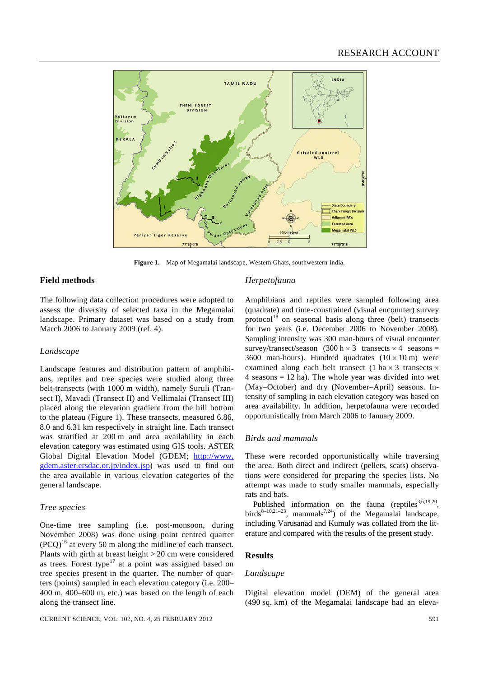

**Figure 1.** Map of Megamalai landscape, Western Ghats, southwestern India.

# **Field methods**

The following data collection procedures were adopted to assess the diversity of selected taxa in the Megamalai landscape. Primary dataset was based on a study from March 2006 to January 2009 (ref. 4).

#### *Landscape*

Landscape features and distribution pattern of amphibians, reptiles and tree species were studied along three belt-transects (with 1000 m width), namely Suruli (Transect I), Mavadi (Transect II) and Vellimalai (Transect III) placed along the elevation gradient from the hill bottom to the plateau (Figure 1). These transects, measured 6.86, 8.0 and 6.31 km respectively in straight line. Each transect was stratified at 200 m and area availability in each elevation category was estimated using GIS tools. ASTER Global Digital Elevation Model (GDEM; http://www. gdem.aster.ersdac.or.jp/index.jsp) was used to find out the area available in various elevation categories of the general landscape.

# *Tree species*

One-time tree sampling (i.e. post-monsoon, during November 2008) was done using point centred quarter  $(PCQ)^{16}$  at every 50 m along the midline of each transect. Plants with girth at breast height > 20 cm were considered as trees. Forest type<sup>17</sup> at a point was assigned based on tree species present in the quarter. The number of quarters (points) sampled in each elevation category (i.e. 200– 400 m, 400–600 m, etc.) was based on the length of each along the transect line.

#### *Herpetofauna*

Amphibians and reptiles were sampled following area (quadrate) and time-constrained (visual encounter) survey protocol<sup>18</sup> on seasonal basis along three (belt) transects for two years (i.e. December 2006 to November 2008). Sampling intensity was 300 man-hours of visual encounter survey/transect/season (300 h  $\times$  3 transects  $\times$  4 seasons = 3600 man-hours). Hundred quadrates  $(10 \times 10 \text{ m})$  were examined along each belt transect (1 ha  $\times$  3 transects  $\times$ 4 seasons  $= 12$  ha). The whole year was divided into wet (May–October) and dry (November–April) seasons. Intensity of sampling in each elevation category was based on area availability. In addition, herpetofauna were recorded opportunistically from March 2006 to January 2009.

#### *Birds and mammals*

These were recorded opportunistically while traversing the area. Both direct and indirect (pellets, scats) observations were considered for preparing the species lists. No attempt was made to study smaller mammals, especially rats and bats.

Published information on the fauna (reptiles $3,6,19,20$ , birds $8-10,21-23$ , mammals<sup>7,24</sup>) of the Megamalai landscape, including Varusanad and Kumuly was collated from the literature and compared with the results of the present study.

# **Results**

#### *Landscape*

Digital elevation model (DEM) of the general area (490 sq. km) of the Megamalai landscape had an eleva-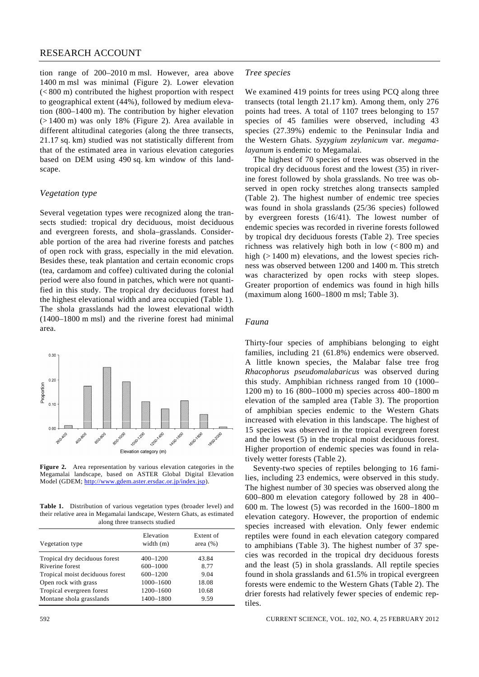# RESEARCH ACCOUNT

tion range of 200–2010 m msl. However, area above 1400 m msl was minimal (Figure 2). Lower elevation (< 800 m) contributed the highest proportion with respect to geographical extent (44%), followed by medium elevation (800–1400 m). The contribution by higher elevation (> 1400 m) was only 18% (Figure 2). Area available in different altitudinal categories (along the three transects, 21.17 sq. km) studied was not statistically different from that of the estimated area in various elevation categories based on DEM using 490 sq. km window of this landscape.

#### *Vegetation type*

Several vegetation types were recognized along the transects studied: tropical dry deciduous, moist deciduous and evergreen forests, and shola–grasslands. Considerable portion of the area had riverine forests and patches of open rock with grass, especially in the mid elevation. Besides these, teak plantation and certain economic crops (tea, cardamom and coffee) cultivated during the colonial period were also found in patches, which were not quantified in this study. The tropical dry deciduous forest had the highest elevational width and area occupied (Table 1). The shola grasslands had the lowest elevational width (1400–1800 m msl) and the riverine forest had minimal area.



**Figure 2.** Area representation by various elevation categories in the Megamalai landscape, based on ASTER Global Digital Elevation Model (GDEM; http://www.gdem.aster.ersdac.or.jp/index.jsp).

**Table 1.** Distribution of various vegetation types (broader level) and their relative area in Megamalai landscape, Western Ghats, as estimated along three transects studied

| Vegetation type                 | Elevation<br>width $(m)$ | Extent of<br>area $(\%)$ |  |
|---------------------------------|--------------------------|--------------------------|--|
| Tropical dry deciduous forest   | $400 - 1200$             | 43.84                    |  |
| Riverine forest                 | 600-1000                 | 8.77                     |  |
| Tropical moist deciduous forest | 600-1200                 | 9.04                     |  |
| Open rock with grass            | 1000-1600                | 18.08                    |  |
| Tropical evergreen forest       | 1200-1600                | 10.68                    |  |
| Montane shola grasslands        | 1400-1800                | 9.59                     |  |
|                                 |                          |                          |  |

We examined 419 points for trees using PCQ along three transects (total length 21.17 km). Among them, only 276 points had trees. A total of 1107 trees belonging to 157 species of 45 families were observed, including 43 species (27.39%) endemic to the Peninsular India and the Western Ghats. *Syzygium zeylanicum* var. *megamalayanum* is endemic to Megamalai.

 The highest of 70 species of trees was observed in the tropical dry deciduous forest and the lowest (35) in riverine forest followed by shola grasslands. No tree was observed in open rocky stretches along transects sampled (Table 2). The highest number of endemic tree species was found in shola grasslands (25/36 species) followed by evergreen forests (16/41). The lowest number of endemic species was recorded in riverine forests followed by tropical dry deciduous forests (Table 2). Tree species richness was relatively high both in low (< 800 m) and high  $(> 1400 \text{ m})$  elevations, and the lowest species richness was observed between 1200 and 1400 m. This stretch was characterized by open rocks with steep slopes. Greater proportion of endemics was found in high hills (maximum along 1600–1800 m msl; Table 3).

#### *Fauna*

Thirty-four species of amphibians belonging to eight families, including 21 (61.8%) endemics were observed. A little known species, the Malabar false tree frog *Rhacophorus pseudomalabaricus* was observed during this study. Amphibian richness ranged from 10 (1000– 1200 m) to 16 (800–1000 m) species across 400–1800 m elevation of the sampled area (Table 3). The proportion of amphibian species endemic to the Western Ghats increased with elevation in this landscape. The highest of 15 species was observed in the tropical evergreen forest and the lowest (5) in the tropical moist deciduous forest. Higher proportion of endemic species was found in relatively wetter forests (Table 2).

 Seventy-two species of reptiles belonging to 16 families, including 23 endemics, were observed in this study. The highest number of 30 species was observed along the 600–800 m elevation category followed by 28 in 400– 600 m. The lowest (5) was recorded in the 1600–1800 m elevation category. However, the proportion of endemic species increased with elevation. Only fewer endemic reptiles were found in each elevation category compared to amphibians (Table 3). The highest number of 37 species was recorded in the tropical dry deciduous forests and the least (5) in shola grasslands. All reptile species found in shola grasslands and 61.5% in tropical evergreen forests were endemic to the Western Ghats (Table 2). The drier forests had relatively fewer species of endemic reptiles.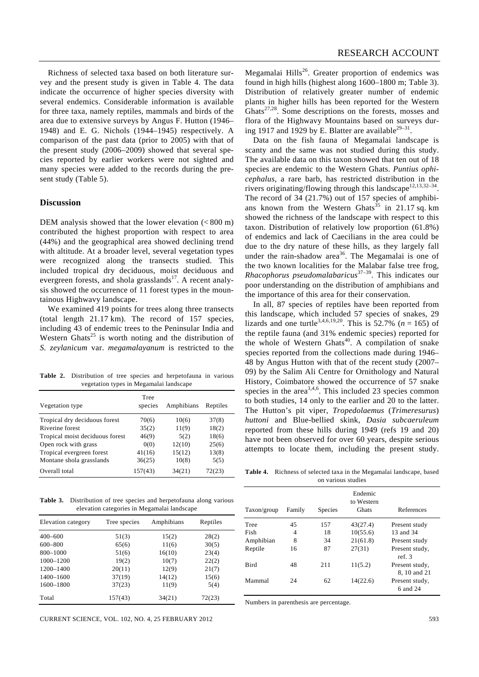Richness of selected taxa based on both literature survey and the present study is given in Table 4. The data indicate the occurrence of higher species diversity with several endemics. Considerable information is available for three taxa, namely reptiles, mammals and birds of the area due to extensive surveys by Angus F. Hutton (1946– 1948) and E. G. Nichols (1944–1945) respectively. A comparison of the past data (prior to 2005) with that of the present study (2006–2009) showed that several species reported by earlier workers were not sighted and many species were added to the records during the present study (Table 5).

#### **Discussion**

DEM analysis showed that the lower elevation (<800 m) contributed the highest proportion with respect to area (44%) and the geographical area showed declining trend with altitude. At a broader level, several vegetation types were recognized along the transects studied. This included tropical dry deciduous, moist deciduous and evergreen forests, and shola grasslands $17$ . A recent analysis showed the occurrence of 11 forest types in the mountainous Highwavy landscape.

We examined 419 points for trees along three transects (total length 21.17 km). The record of 157 species, including 43 of endemic trees to the Peninsular India and Western Ghats<sup>25</sup> is worth noting and the distribution of *S. zeylanicum* var. *megamalayanum* is restricted to the

**Table 2.** Distribution of tree species and herpetofauna in various vegetation types in Megamalai landscape

| Vegetation type                 | Tree<br>species | Amphibians | Reptiles |
|---------------------------------|-----------------|------------|----------|
| Tropical dry deciduous forest   | 70(6)           | 10(6)      | 37(8)    |
| Riverine forest                 | 35(2)           | 11(9)      | 18(2)    |
| Tropical moist deciduous forest | 46(9)           | 5(2)       | 18(6)    |
| Open rock with grass            | 0(0)            | 12(10)     | 25(6)    |
| Tropical evergreen forest       | 41(16)          | 15(12)     | 13(8)    |
| Montane shola grasslands        | 36(25)          | 10(8)      | 5(5)     |
| Overall total                   | 157(43)         | 34(21)     | 72(23)   |

**Table 3.** Distribution of tree species and herpetofauna along various elevation categories in Megamalai landscape

| Elevation category | Tree species | Amphibians | Reptiles |
|--------------------|--------------|------------|----------|
| $400 - 600$        | 51(3)        | 15(2)      | 28(2)    |
| $600 - 800$        | 65(6)        | 11(6)      | 30(5)    |
| 800-1000           | 51(6)        | 16(10)     | 23(4)    |
| 1000-1200          | 19(2)        | 10(7)      | 22(2)    |
| 1200-1400          | 20(11)       | 12(9)      | 21(7)    |
| 1400-1600          | 37(19)       | 14(12)     | 15(6)    |
| 1600-1800          | 37(23)       | 11(9)      | 5(4)     |
| Total              | 157(43)      | 34(21)     | 72(23)   |

CURRENT SCIENCE, VOL. 102, NO. 4, 25 FEBRUARY 2012 593

Megamalai  $Hills^{26}$ . Greater proportion of endemics was found in high hills (highest along 1600–1800 m; Table 3). Distribution of relatively greater number of endemic plants in higher hills has been reported for the Western Ghats<sup>27,28</sup>. Some descriptions on the forests, mosses and flora of the Highwavy Mountains based on surveys during 1917 and 1929 by E. Blatter are available $29-31$ .

 Data on the fish fauna of Megamalai landscape is scanty and the same was not studied during this study. The available data on this taxon showed that ten out of 18 species are endemic to the Western Ghats. *Puntius ophicephalus*, a rare barb, has restricted distribution in the rivers originating/flowing through this landscape<sup>12,13,32–34</sup>. The record of 34 (21.7%) out of 157 species of amphibians known from the Western Ghats<sup>35</sup> in 21.17 sq. km showed the richness of the landscape with respect to this taxon. Distribution of relatively low proportion (61.8%) of endemics and lack of Caecilians in the area could be due to the dry nature of these hills, as they largely fall under the rain-shadow area<sup>36</sup>. The Megamalai is one of the two known localities for the Malabar false tree frog, *Rhacophorus pseudomalabaricus*37–39. This indicates our poor understanding on the distribution of amphibians and the importance of this area for their conservation.

 In all, 87 species of reptiles have been reported from this landscape, which included 57 species of snakes, 29 lizards and one turtle<sup>3,4,6,19,20</sup>. This is 52.7% ( $n = 165$ ) of the reptile fauna (and 31% endemic species) reported for the whole of Western Ghats<sup>40</sup>. A compilation of snake species reported from the collections made during 1946– 48 by Angus Hutton with that of the recent study (2007– 09) by the Salim Ali Centre for Ornithology and Natural History, Coimbatore showed the occurrence of 57 snake species in the area<sup>3,4,6</sup>. This included 23 species common to both studies, 14 only to the earlier and 20 to the latter. The Hutton's pit viper, *Tropedolaemus* (*Trimeresurus*) *huttoni* and Blue-bellied skink, *Dasia subcaeruleum* reported from these hills during 1949 (refs 19 and 20) have not been observed for over 60 years, despite serious attempts to locate them, including the present study.

**Table 4.** Richness of selected taxa in the Megamalai landscape, based on various studies

| Taxon/group | Family | <b>Species</b> | Endemic<br>to Western<br><b>Ghats</b> | References                     |
|-------------|--------|----------------|---------------------------------------|--------------------------------|
| Tree        | 45     | 157            | 43(27.4)                              | Present study                  |
| Fish        | 4      | 18             | 10(55.6)                              | 13 and 34                      |
| Amphibian   | 8      | 34             | 21(61.8)                              | Present study                  |
| Reptile     | 16     | 87             | 27(31)                                | Present study,<br>ref. $3$     |
| <b>Bird</b> | 48     | 211            | 11(5.2)                               | Present study,<br>8, 10 and 21 |
| Mammal      | 24     | 62             | 14(22.6)                              | Present study,<br>6 and 24     |

Numbers in parenthesis are percentage.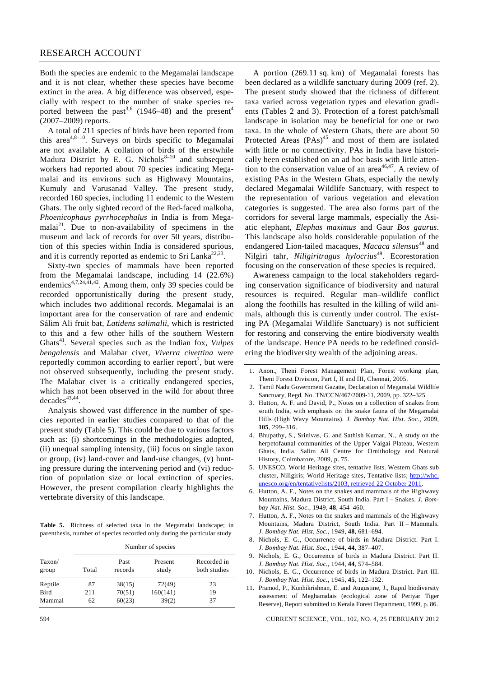Both the species are endemic to the Megamalai landscape and it is not clear, whether these species have become extinct in the area. A big difference was observed, especially with respect to the number of snake species reported between the past<sup>3,6</sup> (1946–48) and the present<sup>4</sup> (2007–2009) reports.

 A total of 211 species of birds have been reported from this area<sup>4,8–10</sup>. Surveys on birds specific to Megamalai are not available. A collation of birds of the erstwhile Madura District by E. G. Nichols $8-10$  and subsequent workers had reported about 70 species indicating Megamalai and its environs such as Highwavy Mountains, Kumuly and Varusanad Valley. The present study, recorded 160 species, including 11 endemic to the Western Ghats. The only sighted record of the Red-faced malkoha, *Phoenicophaus pyrrhocephalus* in India is from Megamalai<sup>21</sup>. Due to non-availability of specimens in the museum and lack of records for over 50 years, distribution of this species within India is considered spurious, and it is currently reported as endemic to Sri Lanka<sup>22,23</sup>.

 Sixty-two species of mammals have been reported from the Megamalai landscape, including 14 (22.6%) endemics<sup>4,7,24,41,42</sup>. Among them, only 39 species could be recorded opportunistically during the present study, which includes two additional records. Megamalai is an important area for the conservation of rare and endemic Sálim Ali fruit bat, *Latidens salimalii*, which is restricted to this and a few other hills of the southern Western Ghats<sup>41</sup>. Several species such as the Indian fox, *Vulpes bengalensis* and Malabar civet, *Viverra civettina* were reportedly common according to earlier report<sup>7</sup>, but were not observed subsequently, including the present study. The Malabar civet is a critically endangered species, which has not been observed in the wild for about three  $decades^{43,44}$ .

 Analysis showed vast difference in the number of species reported in earlier studies compared to that of the present study (Table 5). This could be due to various factors such as: (i) shortcomings in the methodologies adopted, (ii) unequal sampling intensity, (iii) focus on single taxon or group, (iv) land-cover and land-use changes, (v) hunting pressure during the intervening period and (vi) reduction of population size or local extinction of species. However, the present compilation clearly highlights the vertebrate diversity of this landscape.

**Table 5.** Richness of selected taxa in the Megamalai landscape; in parenthesis, number of species recorded only during the particular study

|                 |       |                 | Number of species |                             |
|-----------------|-------|-----------------|-------------------|-----------------------------|
| Taxon/<br>group | Total | Past<br>records | Present<br>study  | Recorded in<br>both studies |
| Reptile         | 87    | 38(15)          | 72(49)            | 23                          |
| <b>Bird</b>     | 211   | 70(51)          | 160(141)          | 19                          |
| Mammal          | 62    | 60(23)          | 39(2)             | 37                          |

 A portion (269.11 sq. km) of Megamalai forests has been declared as a wildlife sanctuary during 2009 (ref. 2). The present study showed that the richness of different taxa varied across vegetation types and elevation gradients (Tables 2 and 3). Protection of a forest patch/small landscape in isolation may be beneficial for one or two taxa. In the whole of Western Ghats, there are about 50 Protected Areas  $(PAs)^{45}$  and most of them are isolated with little or no connectivity. PAs in India have historically been established on an ad hoc basis with little attention to the conservation value of an area<sup>46,47</sup>. A review of existing PAs in the Western Ghats, especially the newly declared Megamalai Wildlife Sanctuary, with respect to the representation of various vegetation and elevation categories is suggested. The area also forms part of the corridors for several large mammals, especially the Asiatic elephant, *Elephas maximus* and Gaur *Bos gaurus*. This landscape also holds considerable population of the endangered Lion-tailed macaques, *Macaca silensus*<sup>48</sup> and Nilgiri tahr, *Niligiritragus hylocrius*49. Ecorestoration focusing on the conservation of these species is required.

 Awareness campaign to the local stakeholders regarding conservation significance of biodiversity and natural resources is required. Regular man–wildlife conflict along the foothills has resulted in the killing of wild animals, although this is currently under control. The existing PA (Megamalai Wildlife Sanctuary) is not sufficient for restoring and conserving the entire biodiversity wealth of the landscape. Hence PA needs to be redefined considering the biodiversity wealth of the adjoining areas.

- 1. Anon., Theni Forest Management Plan, Forest working plan, Theni Forest Division, Part I, II and III, Chennai, 2005.
- 2. Tamil Nadu Government Gazatte, Declaration of Megamalai Wildlife Sanctuary, Regd. No. TN/CCN/467/2009-11, 2009, pp. 322–325.
- 3. Hutton, A. F. and David, P., Notes on a collection of snakes from south India, with emphasis on the snake fauna of the Megamalai Hills (High Wavy Mountains). *J. Bombay Nat. Hist. Soc.*, 2009, **105**, 299–316.
- 4. Bhupathy, S., Srinivas, G. and Sathish Kumar, N., A study on the herpetofaunal communities of the Upper Vaigai Plateau, Western Ghats, India. Salim Ali Centre for Ornithology and Natural History, Coimbatore, 2009, p. 75.
- 5. UNESCO, World Heritage sites, tentative lists. Western Ghats sub cluster, Niligiris; World Heritage sites, Tentative lists; http://whc. unesco.org/en/tentativelists/2103, retrieved 22 October 2011.
- 6. Hutton, A. F., Notes on the snakes and mammals of the Highwavy Mountains, Madura District, South India. Part I – Snakes. *J. Bombay Nat. Hist. Soc*., 1949, **48**, 454–460.
- 7. Hutton, A. F., Notes on the snakes and mammals of the Highwavy Mountains, Madura District, South India. Part II – Mammals. *J. Bombay Nat. Hist. Soc*., 1949, **48**, 681–694.
- 8. Nichols, E. G., Occurrence of birds in Madura District. Part I. *J. Bombay Nat. Hist. Soc*., 1944, **44**, 387–407.
- 9. Nichols, E. G., Occurrence of birds in Madura District. Part II. *J. Bombay Nat. Hist. Soc*., 1944, **44**, 574–584.
- 10. Nichols, E. G., Occurrence of birds in Madura District. Part III. *J. Bombay Nat. Hist. Soc*., 1945, **45**, 122–132.
- 11. Pramod, P., Kunhikrishnan, E. and Augustine, J., Rapid biodiversity assessment of Meghamalais (ecological zone of Periyar Tiger Reserve), Report submitted to Kerala Forest Department, 1999, p. 86.

594 CURRENT SCIENCE, VOL. 102, NO. 4, 25 FEBRUARY 2012